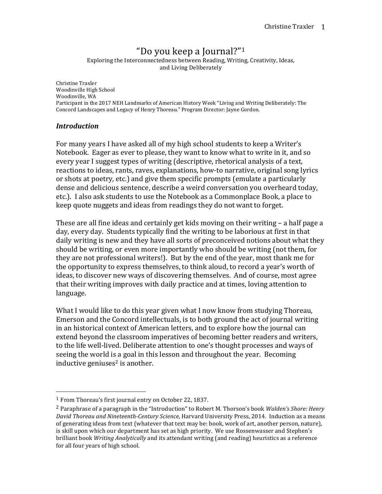# "Do you keep a Journal?"<sup>1</sup>

Exploring the Interconnectedness between Reading, Writing, Creativity, Ideas, and Living Deliberately

Christine Traxler Woodinville High School Woodinville, WA Participant in the 2017 NEH Landmarks of American History Week "Living and Writing Deliberately: The Concord Landscapes and Legacy of Henry Thoreau." Program Director: Jayne Gordon.

#### *Introduction*

For many years I have asked all of my high school students to keep a Writer's Notebook. Eager as ever to please, they want to know what to write in it, and so every year I suggest types of writing (descriptive, rhetorical analysis of a text, reactions to ideas, rants, raves, explanations, how-to narrative, original song lyrics or shots at poetry, etc.) and give them specific prompts (emulate a particularly dense and delicious sentence, describe a weird conversation you overheard today, etc.). I also ask students to use the Notebook as a Commonplace Book, a place to keep quote nuggets and ideas from readings they do not want to forget.

These are all fine ideas and certainly get kids moving on their writing  $-$  a half page a day, every day. Students typically find the writing to be laborious at first in that daily writing is new and they have all sorts of preconceived notions about what they should be writing, or even more importantly who should be writing (not them, for they are not professional writers!). But by the end of the year, most thank me for the opportunity to express themselves, to think aloud, to record a year's worth of ideas, to discover new ways of discovering themselves. And of course, most agree that their writing improves with daily practice and at times, loving attention to language. 

What I would like to do this year given what I now know from studying Thoreau, Emerson and the Concord intellectuals, is to both ground the act of journal writing in an historical context of American letters, and to explore how the journal can extend beyond the classroom imperatives of becoming better readers and writers, to the life well-lived. Deliberate attention to one's thought processes and ways of seeing the world is a goal in this lesson and throughout the year. Becoming inductive geniuses<sup>2</sup> is another.

 

 $1$  From Thoreau's first journal entry on October 22, 1837.

<sup>&</sup>lt;sup>2</sup> Paraphrase of a paragraph in the "Introduction" to Robert M. Thorson's book *Walden's Shore: Henry* David Thoreau and Nineteenth-Century Science, Harvard University Press, 2014. Induction as a means of generating ideas from text (whatever that text may be: book, work of art, another person, nature), is skill upon which our department has set as high priority. We use Rossenwasser and Stephen's brilliant book *Writing Analytically* and its attendant writing (and reading) heuristics as a reference for all four years of high school.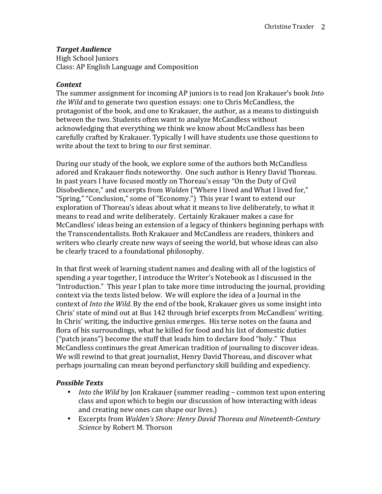## *Target Audience*

High School Juniors Class: AP English Language and Composition

#### *Context*

The summer assignment for incoming AP juniors is to read Jon Krakauer's book *Into the Wild* and to generate two question essays: one to Chris McCandless, the protagonist of the book, and one to Krakauer, the author, as a means to distinguish between the two. Students often want to analyze McCandless without acknowledging that everything we think we know about McCandless has been carefully crafted by Krakauer. Typically I will have students use those questions to write about the text to bring to our first seminar.

During our study of the book, we explore some of the authors both McCandless adored and Krakauer finds noteworthy. One such author is Henry David Thoreau. In past years I have focused mostly on Thoreau's essay "On the Duty of Civil Disobedience," and excerpts from *Walden* ("Where I lived and What I lived for," "Spring," "Conclusion," some of "Economy.") This year I want to extend our exploration of Thoreau's ideas about what it means to live deliberately, to what it means to read and write deliberately. Certainly Krakauer makes a case for McCandless' ideas being an extension of a legacy of thinkers beginning perhaps with the Transcendentalists. Both Krakauer and McCandless are readers, thinkers and writers who clearly create new ways of seeing the world, but whose ideas can also be clearly traced to a foundational philosophy.

In that first week of learning student names and dealing with all of the logistics of spending a year together, I introduce the Writer's Notebook as I discussed in the "Introduction." This year I plan to take more time introducing the journal, providing context via the texts listed below. We will explore the idea of a Journal in the context of *Into the Wild*. By the end of the book, Krakauer gives us some insight into Chris' state of mind out at Bus 142 through brief excerpts from McCandless' writing. In Chris' writing, the inductive genius emerges. His terse notes on the fauna and flora of his surroundings, what he killed for food and his list of domestic duties ("patch jeans") become the stuff that leads him to declare food "holy." Thus McCandless continues the great American tradition of journaling to discover ideas. We will rewind to that great journalist, Henry David Thoreau, and discover what perhaps journaling can mean beyond perfunctory skill building and expediency.

### *Possible Texts*

- *Into the Wild* by Jon Krakauer (summer reading common text upon entering class and upon which to begin our discussion of how interacting with ideas and creating new ones can shape our lives.)
- Excerpts from *Walden's Shore: Henry David Thoreau and Nineteenth-Century Science* by Robert M. Thorson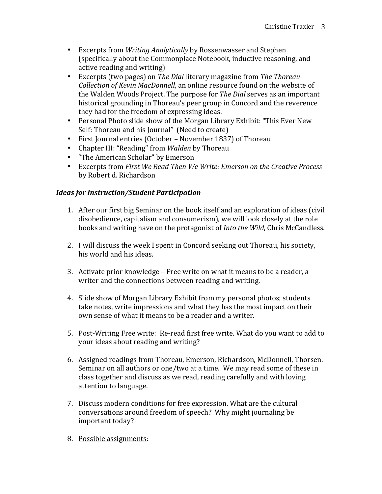- Excerpts from *Writing Analytically* by Rossenwasser and Stephen (specifically about the Commonplace Notebook, inductive reasoning, and active reading and writing)
- Excerpts (two pages) on *The Dial* literary magazine from *The Thoreau Collection of Kevin MacDonnell*, an online resource found on the website of the Walden Woods Project. The purpose for *The Dial* serves as an important historical grounding in Thoreau's peer group in Concord and the reverence they had for the freedom of expressing ideas.
- Personal Photo slide show of the Morgan Library Exhibit: "This Ever New Self: Thoreau and his Journal" (Need to create)
- First Journal entries (October November 1837) of Thoreau
- Chapter III: "Reading" from *Walden* by Thoreau
- "The American Scholar" by Emerson
- Excerpts from *First We Read Then We Write: Emerson on the Creative Process* by Robert d. Richardson

# *Ideas for Instruction/Student Participation*

- 1. After our first big Seminar on the book itself and an exploration of ideas (civil disobedience, capitalism and consumerism), we will look closely at the role books and writing have on the protagonist of *Into the Wild*, Chris McCandless.
- 2. I will discuss the week I spent in Concord seeking out Thoreau, his society, his world and his ideas.
- 3. Activate prior knowledge Free write on what it means to be a reader, a writer and the connections between reading and writing.
- 4. Slide show of Morgan Library Exhibit from my personal photos; students take notes, write impressions and what they has the most impact on their own sense of what it means to be a reader and a writer.
- 5. Post-Writing Free write: Re-read first free write. What do you want to add to your ideas about reading and writing?
- 6. Assigned readings from Thoreau, Emerson, Richardson, McDonnell, Thorsen. Seminar on all authors or one/two at a time. We may read some of these in class together and discuss as we read, reading carefully and with loving attention to language.
- 7. Discuss modern conditions for free expression. What are the cultural conversations around freedom of speech? Why might journaling be important today?
- 8. Possible assignments: